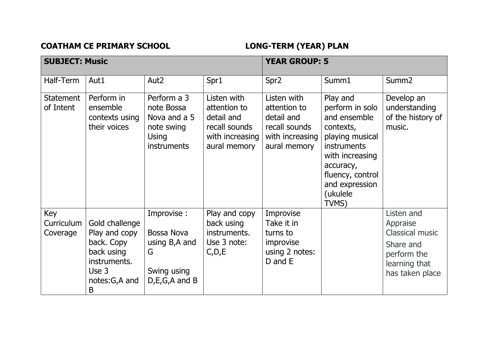## **COATHAM CE PRIMARY SCHOOL LONG-TERM (YEAR) PLAN**

| <b>SUBJECT: Music</b>         |                                                                                                            |                                                                                               |                                                                                               | <b>YEAR GROUP: 5</b>                                                                          |                                                                                                                                                                                              |                                                                                                                  |  |
|-------------------------------|------------------------------------------------------------------------------------------------------------|-----------------------------------------------------------------------------------------------|-----------------------------------------------------------------------------------------------|-----------------------------------------------------------------------------------------------|----------------------------------------------------------------------------------------------------------------------------------------------------------------------------------------------|------------------------------------------------------------------------------------------------------------------|--|
| Half-Term                     | Aut1                                                                                                       | Aut <sub>2</sub>                                                                              | Spr1                                                                                          | Spr <sub>2</sub>                                                                              | Summ1                                                                                                                                                                                        | Summ <sub>2</sub>                                                                                                |  |
| Statement<br>of Intent        | Perform in<br>ensemble<br>contexts using<br>their voices                                                   | Perform a 3<br>note Bossa<br>Nova and a 5<br>note swing<br><b>Using</b><br><b>instruments</b> | Listen with<br>attention to<br>detail and<br>recall sounds<br>with increasing<br>aural memory | Listen with<br>attention to<br>detail and<br>recall sounds<br>with increasing<br>aural memory | Play and<br>perform in solo<br>and ensemble<br>contexts,<br>playing musical<br><b>instruments</b><br>with increasing<br>accuracy,<br>fluency, control<br>and expression<br>(ukulele<br>TVMS) | Develop an<br>understanding<br>of the history of<br>music.                                                       |  |
| Key<br>Curriculum<br>Coverage | Gold challenge<br>Play and copy<br>back. Copy<br>back using<br>instruments.<br>Use 3<br>notes:G,A and<br>B | Improvise :<br>Bossa Nova<br>using B, A and<br>G<br>Swing using<br>$D, E, G, A$ and B         | Play and copy<br>back using<br>instruments.<br>Use 3 note:<br>C, D, E                         | Improvise<br>Take it in<br>turns to<br>improvise<br>using 2 notes:<br>D and E                 |                                                                                                                                                                                              | Listen and<br>Appraise<br><b>Classical music</b><br>Share and<br>perform the<br>learning that<br>has taken place |  |